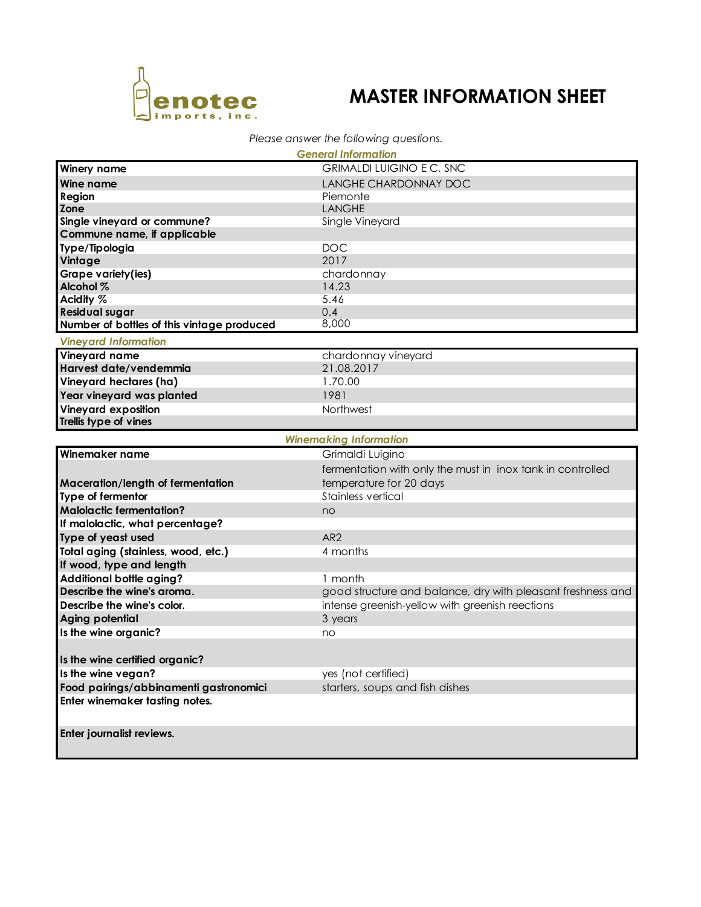

## **MASTER INFORMATION SHEET**

## *Please answer the following questions.*

|                                            | <b>General Information</b>                                  |  |  |
|--------------------------------------------|-------------------------------------------------------------|--|--|
| <b>Winery name</b>                         | <b>GRIMALDI LUIGINO E C. SNC</b>                            |  |  |
| <b>Wine name</b>                           | LANGHE CHARDONNAY DOC                                       |  |  |
| Region                                     | Piemonte                                                    |  |  |
| Zone                                       | <b>LANGHE</b>                                               |  |  |
| Single vineyard or commune?                | Single Vineyard                                             |  |  |
| Commune name, if applicable                |                                                             |  |  |
| Type/Tipologia                             | <b>DOC</b>                                                  |  |  |
| Vintage                                    | 2017                                                        |  |  |
| <b>Grape variety(ies)</b>                  | chardonnay                                                  |  |  |
| Alcohol %                                  | 14.23                                                       |  |  |
| Acidity %                                  | 5.46                                                        |  |  |
| <b>Residual sugar</b>                      | 0.4                                                         |  |  |
| Number of bottles of this vintage produced | 8,000                                                       |  |  |
| <b>Vineyard Information</b>                |                                                             |  |  |
| <b>Vineyard name</b>                       | chardonnay vineyard                                         |  |  |
| Harvest date/vendemmia                     | 21.08.2017                                                  |  |  |
| Vineyard hectares (ha)                     | 1.70.00                                                     |  |  |
| Year vineyard was planted                  | 1981                                                        |  |  |
| <b>Vineyard exposition</b>                 | Northwest                                                   |  |  |
| Trellis type of vines                      |                                                             |  |  |
| <b>Winemaking Information</b>              |                                                             |  |  |
| Winemaker name                             | Grimaldi Luigino                                            |  |  |
|                                            | fermentation with only the must in inox tank in controlled  |  |  |
| Maceration/length of fermentation          | temperature for 20 days                                     |  |  |
| Type of fermentor                          | Stainless vertical                                          |  |  |
| <b>Malolactic fermentation?</b>            | no                                                          |  |  |
| If malolactic, what percentage?            |                                                             |  |  |
| Type of yeast used                         | AR <sub>2</sub>                                             |  |  |
| Total aging (stainless, wood, etc.)        | 4 months                                                    |  |  |
| If wood, type and length                   |                                                             |  |  |
| Additional bottle aging?                   |                                                             |  |  |
| Describe the wine's aroma.                 | 1 month                                                     |  |  |
| Describe the wine's color.                 | good structure and balance, dry with pleasant freshness and |  |  |
|                                            | intense greenish-yellow with greenish reections             |  |  |
| Aging potential                            | 3 years                                                     |  |  |
| Is the wine organic?                       | no                                                          |  |  |
|                                            |                                                             |  |  |
| Is the wine certified organic?             |                                                             |  |  |
| Is the wine vegan?                         | yes (not certified)                                         |  |  |
| Food pairings/abbinamenti gastronomici     | starters, soups and fish dishes                             |  |  |
| Enter winemaker tasting notes.             |                                                             |  |  |
| Enter journalist reviews.                  |                                                             |  |  |
|                                            |                                                             |  |  |
|                                            |                                                             |  |  |